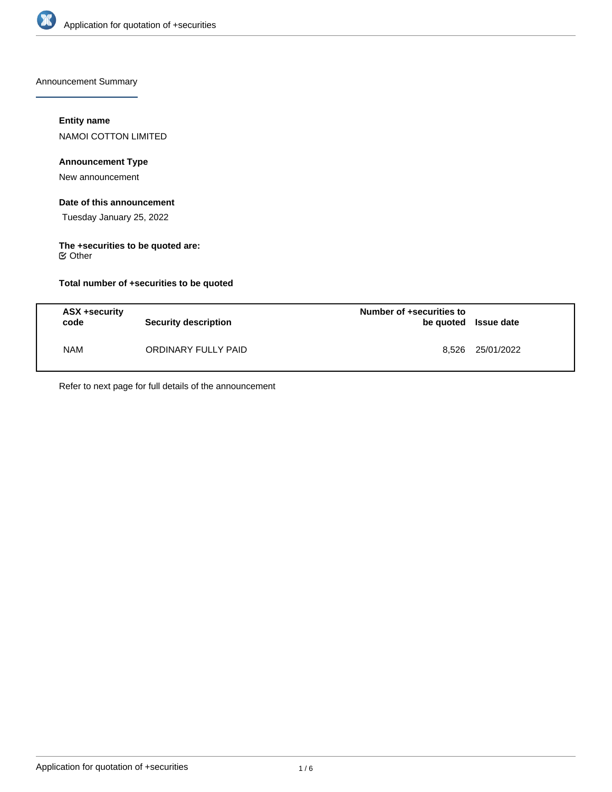

Announcement Summary

### **Entity name**

NAMOI COTTON LIMITED

# **Announcement Type**

New announcement

### **Date of this announcement**

Tuesday January 25, 2022

#### **The +securities to be quoted are:** Other

### **Total number of +securities to be quoted**

| ASX +security<br>code | Security description | Number of +securities to<br>be quoted Issue date |            |
|-----------------------|----------------------|--------------------------------------------------|------------|
| <b>NAM</b>            | ORDINARY FULLY PAID  | 8.526                                            | 25/01/2022 |

Refer to next page for full details of the announcement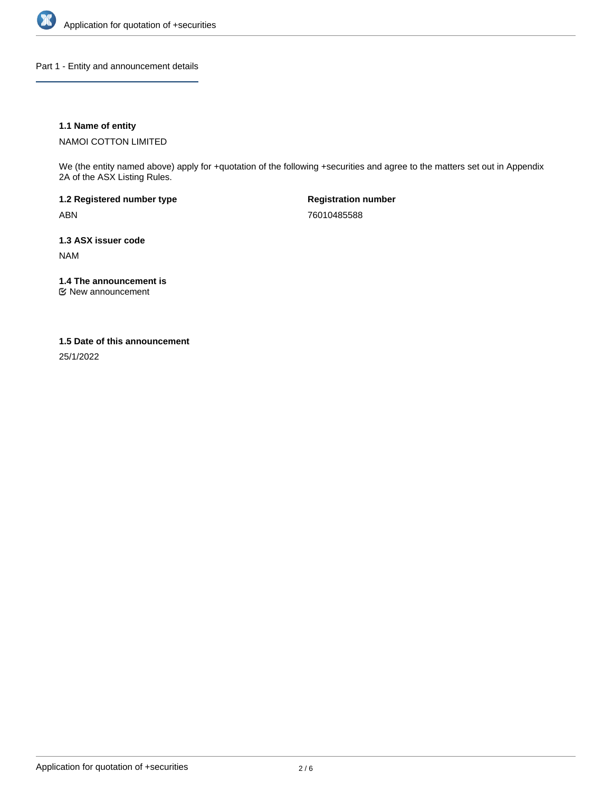

Part 1 - Entity and announcement details

### **1.1 Name of entity**

NAMOI COTTON LIMITED

We (the entity named above) apply for +quotation of the following +securities and agree to the matters set out in Appendix 2A of the ASX Listing Rules.

**1.2 Registered number type** ABN

**Registration number** 76010485588

**1.3 ASX issuer code**

NAM

**1.4 The announcement is**

New announcement

#### **1.5 Date of this announcement**

25/1/2022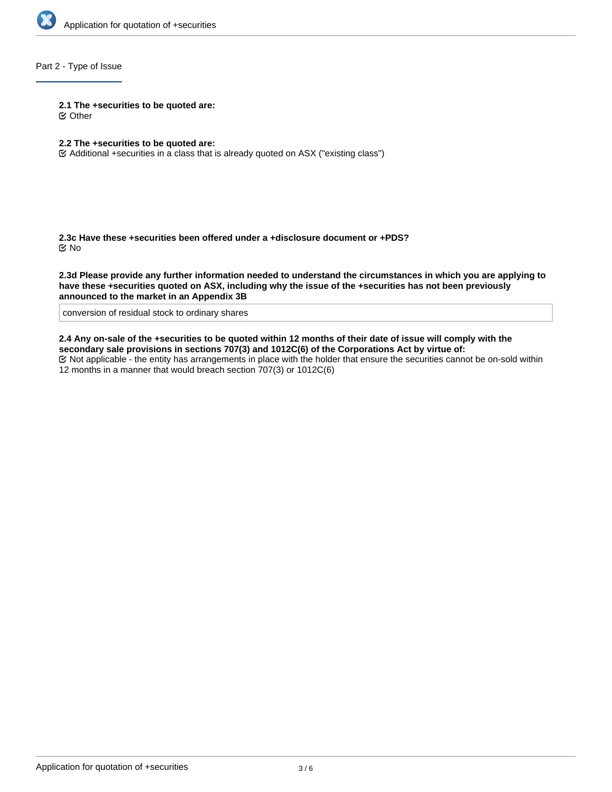

## Part 2 - Type of Issue

**2.1 The +securities to be quoted are:**

Other

## **2.2 The +securities to be quoted are:**

Additional +securities in a class that is already quoted on ASX ("existing class")

**2.3c Have these +securities been offered under a +disclosure document or +PDS?** No

**2.3d Please provide any further information needed to understand the circumstances in which you are applying to have these +securities quoted on ASX, including why the issue of the +securities has not been previously announced to the market in an Appendix 3B**

conversion of residual stock to ordinary shares

**2.4 Any on-sale of the +securities to be quoted within 12 months of their date of issue will comply with the secondary sale provisions in sections 707(3) and 1012C(6) of the Corporations Act by virtue of:**

Not applicable - the entity has arrangements in place with the holder that ensure the securities cannot be on-sold within 12 months in a manner that would breach section 707(3) or 1012C(6)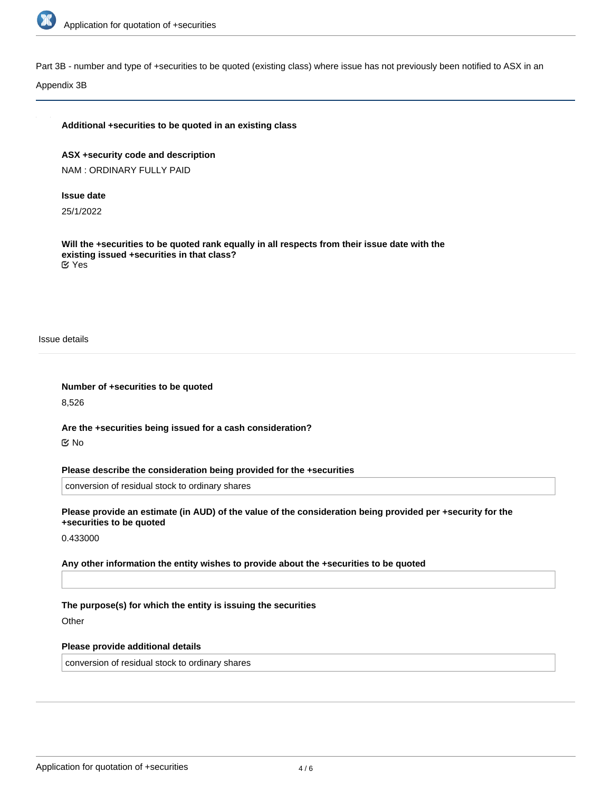

Part 3B - number and type of +securities to be quoted (existing class) where issue has not previously been notified to ASX in an

Appendix 3B

#### **Additional +securities to be quoted in an existing class**

**ASX +security code and description** NAM : ORDINARY FULLY PAID

#### **Issue date**

25/1/2022

**Will the +securities to be quoted rank equally in all respects from their issue date with the existing issued +securities in that class?** Yes

Issue details

**Number of +securities to be quoted**

8,526

**Are the +securities being issued for a cash consideration?** No

**Please describe the consideration being provided for the +securities**

conversion of residual stock to ordinary shares

**Please provide an estimate (in AUD) of the value of the consideration being provided per +security for the +securities to be quoted**

0.433000

**Any other information the entity wishes to provide about the +securities to be quoted**

**The purpose(s) for which the entity is issuing the securities**

**Other** 

#### **Please provide additional details**

conversion of residual stock to ordinary shares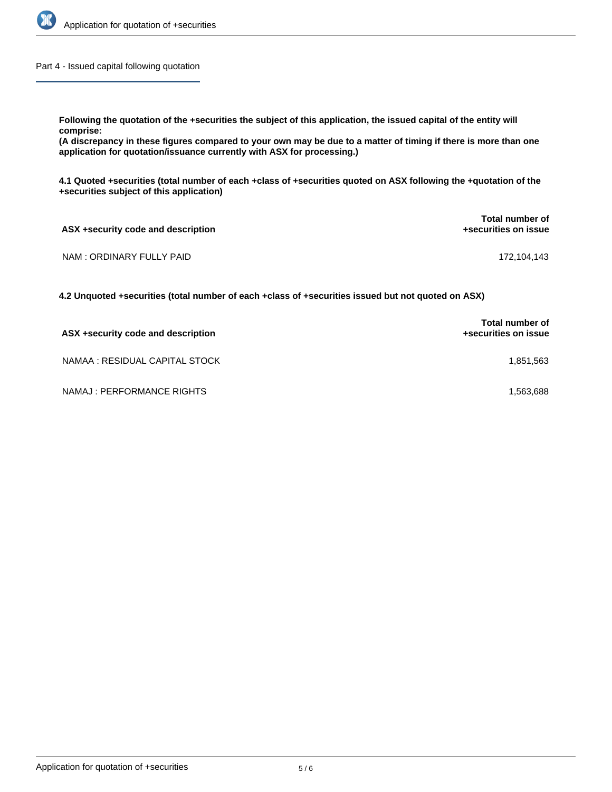

Part 4 - Issued capital following quotation

**Following the quotation of the +securities the subject of this application, the issued capital of the entity will**

**comprise:**

**(A discrepancy in these figures compared to your own may be due to a matter of timing if there is more than one application for quotation/issuance currently with ASX for processing.)**

**4.1 Quoted +securities (total number of each +class of +securities quoted on ASX following the +quotation of the +securities subject of this application)**

| ASX +security code and description | Total number of<br>+securities on issue |  |
|------------------------------------|-----------------------------------------|--|
| NAM : ORDINARY FULLY PAID          | 172,104,143                             |  |

**4.2 Unquoted +securities (total number of each +class of +securities issued but not quoted on ASX)**

| ASX +security code and description | <b>Total number of</b><br>+securities on issue |
|------------------------------------|------------------------------------------------|
| NAMAA : RESIDUAL CAPITAL STOCK     | 1.851.563                                      |
| NAMAJ : PERFORMANCE RIGHTS         | 1.563.688                                      |